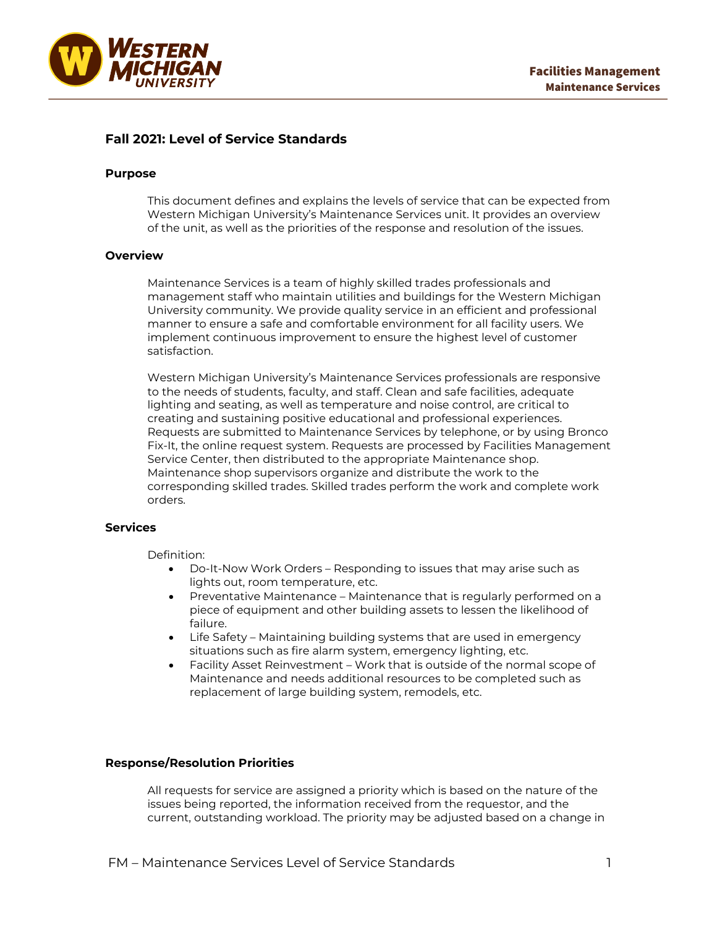

# **Fall 2021: Level of Service Standards**

### **Purpose**

This document defines and explains the levels of service that can be expected from Western Michigan University's Maintenance Services unit. It provides an overview of the unit, as well as the priorities of the response and resolution of the issues.

### **Overview**

Maintenance Services is a team of highly skilled trades professionals and management staff who maintain utilities and buildings for the Western Michigan University community. We provide quality service in an efficient and professional manner to ensure a safe and comfortable environment for all facility users. We implement continuous improvement to ensure the highest level of customer satisfaction.

Western Michigan University's Maintenance Services professionals are responsive to the needs of students, faculty, and staff. Clean and safe facilities, adequate lighting and seating, as well as temperature and noise control, are critical to creating and sustaining positive educational and professional experiences. Requests are submitted to Maintenance Services by telephone, or by using Bronco Fix-It, the online request system. Requests are processed by Facilities Management Service Center, then distributed to the appropriate Maintenance shop. Maintenance shop supervisors organize and distribute the work to the corresponding skilled trades. Skilled trades perform the work and complete work orders.

# **Services**

Definition:

- Do-It-Now Work Orders Responding to issues that may arise such as lights out, room temperature, etc.
- Preventative Maintenance Maintenance that is regularly performed on a piece of equipment and other building assets to lessen the likelihood of failure.
- Life Safety Maintaining building systems that are used in emergency situations such as fire alarm system, emergency lighting, etc.
- Facility Asset Reinvestment Work that is outside of the normal scope of Maintenance and needs additional resources to be completed such as replacement of large building system, remodels, etc.

## **Response/Resolution Priorities**

All requests for service are assigned a priority which is based on the nature of the issues being reported, the information received from the requestor, and the current, outstanding workload. The priority may be adjusted based on a change in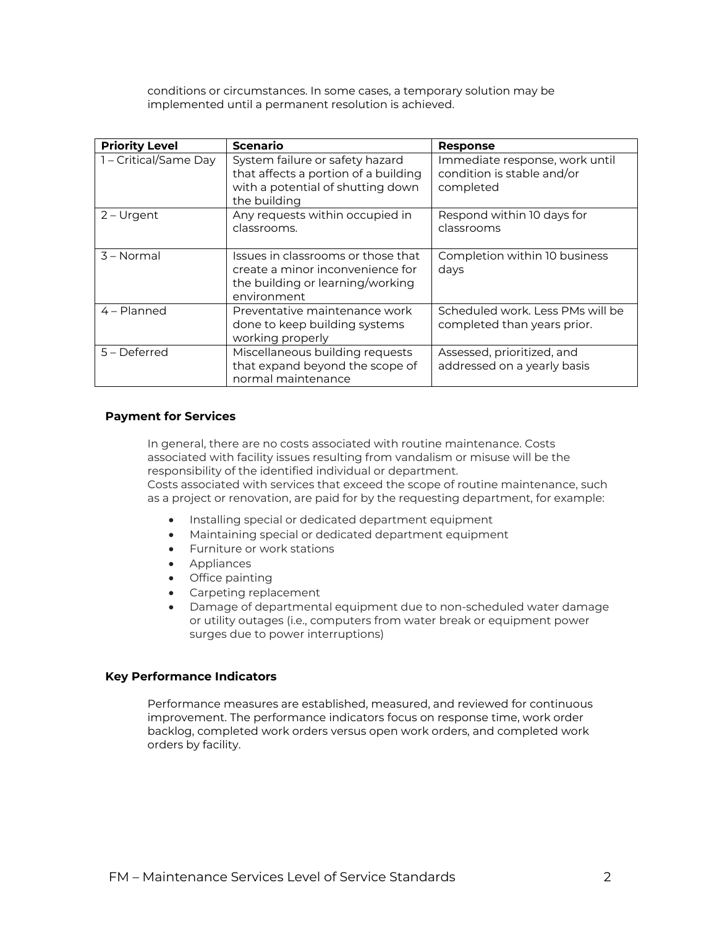conditions or circumstances. In some cases, a temporary solution may be implemented until a permanent resolution is achieved.

| <b>Priority Level</b> | <b>Scenario</b>                                                                                                              | <b>Response</b>                                                           |
|-----------------------|------------------------------------------------------------------------------------------------------------------------------|---------------------------------------------------------------------------|
| 1 - Critical/Same Day | System failure or safety hazard<br>that affects a portion of a building<br>with a potential of shutting down<br>the building | Immediate response, work until<br>condition is stable and/or<br>completed |
| $2 -$ Urgent          | Any requests within occupied in<br>classrooms.                                                                               | Respond within 10 days for<br>classrooms                                  |
| 3 - Normal            | Issues in classrooms or those that<br>create a minor inconvenience for<br>the building or learning/working<br>environment    | Completion within 10 business<br>days                                     |
| $4 -$ Planned         | Preventative maintenance work<br>done to keep building systems<br>working properly                                           | Scheduled work. Less PMs will be<br>completed than years prior.           |
| 5 – Deferred          | Miscellaneous building requests<br>that expand beyond the scope of<br>normal maintenance                                     | Assessed, prioritized, and<br>addressed on a yearly basis                 |

## **Payment for Services**

In general, there are no costs associated with routine maintenance. Costs associated with facility issues resulting from vandalism or misuse will be the responsibility of the identified individual or department.

Costs associated with services that exceed the scope of routine maintenance, such as a project or renovation, are paid for by the requesting department, for example:

- Installing special or dedicated department equipment
- Maintaining special or dedicated department equipment
- Furniture or work stations
- Appliances
- Office painting
- Carpeting replacement
- Damage of departmental equipment due to non-scheduled water damage or utility outages (i.e., computers from water break or equipment power surges due to power interruptions)

## **Key Performance Indicators**

Performance measures are established, measured, and reviewed for continuous improvement. The performance indicators focus on response time, work order backlog, completed work orders versus open work orders, and completed work orders by facility.